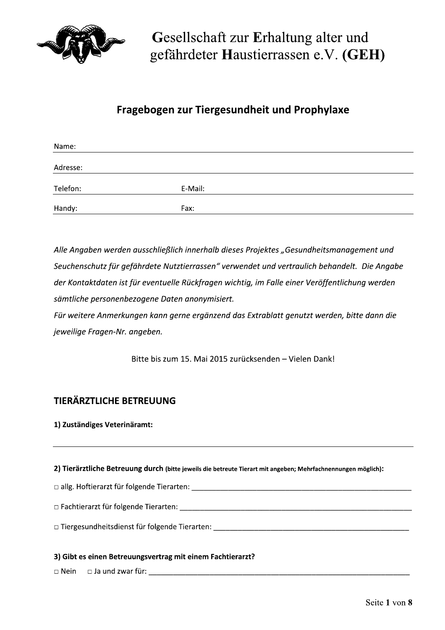

# Fragebogen zur Tiergesundheit und Prophylaxe

| Name:    |         |  |
|----------|---------|--|
|          |         |  |
| Adresse: |         |  |
|          |         |  |
| Telefon: | E-Mail: |  |
|          |         |  |
| Handy:   | Fax:    |  |

Alle Angaben werden ausschließlich innerhalb dieses Projektes "Gesundheitsmanagement und Seuchenschutz für gefährdete Nutztierrassen" verwendet und vertraulich behandelt. Die Angabe der Kontaktdaten ist für eventuelle Rückfragen wichtig, im Falle einer Veröffentlichung werden sämtliche personenbezogene Daten anonymisiert.

Für weitere Anmerkungen kann gerne ergänzend das Extrablatt genutzt werden, bitte dann die jeweilige Fragen-Nr. angeben.

Bitte bis zum 15. Mai 2015 zurücksenden - Vielen Dank!

# **TIERÄRZTLICHE BETREUUNG**

## 1) Zuständiges Veterinäramt:

2) Tierärztliche Betreuung durch (bitte jeweils die betreute Tierart mit angeben; Mehrfachnennungen möglich):

 $\Box$  Fachtierarzt für folgende Tierarten:  $\Box$  Fachtierarten and  $\Box$  Fachtierarzt für folgende Tierarten:

□ Tiergesundheitsdienst für folgende Tierarten: \_\_\_\_\_\_\_\_\_\_\_\_\_\_\_\_\_\_\_\_\_\_\_\_\_\_\_\_\_\_\_

## 3) Gibt es einen Betreuungsvertrag mit einem Fachtierarzt?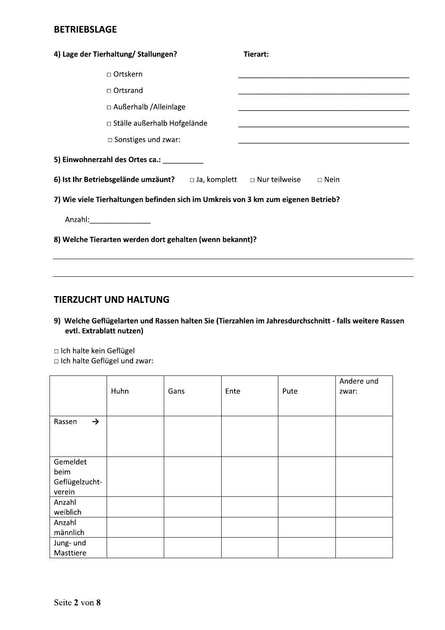# **BETRIEBSLAGE**

| 4) Lage der Tierhaltung/ Stallungen?                                                     | Tierart:                                                       |  |  |  |  |  |
|------------------------------------------------------------------------------------------|----------------------------------------------------------------|--|--|--|--|--|
| □ Ortskern                                                                               |                                                                |  |  |  |  |  |
| $\Box$ Ortsrand                                                                          |                                                                |  |  |  |  |  |
| □ Außerhalb / Alleinlage                                                                 |                                                                |  |  |  |  |  |
| $\Box$ Ställe außerhalb Hofgelände                                                       |                                                                |  |  |  |  |  |
| $\square$ Sonstiges und zwar:                                                            | <u> 1989 - Johann Barbara, margaret eta idazlea (h. 1989).</u> |  |  |  |  |  |
| 5) Einwohnerzahl des Ortes ca.: _________                                                |                                                                |  |  |  |  |  |
| 6) Ist Ihr Betriebsgelände umzäunt? $\Box$ Ja, komplett $\Box$ Nur teilweise $\Box$ Nein |                                                                |  |  |  |  |  |
| 7) Wie viele Tierhaltungen befinden sich im Umkreis von 3 km zum eigenen Betrieb?        |                                                                |  |  |  |  |  |
| Anzahl:____________________                                                              |                                                                |  |  |  |  |  |
| 8) Welche Tierarten werden dort gehalten (wenn bekannt)?                                 |                                                                |  |  |  |  |  |
|                                                                                          |                                                                |  |  |  |  |  |

# **TIERZUCHT UND HALTUNG**

9) Welche Geflügelarten und Rassen halten Sie (Tierzahlen im Jahresdurchschnitt - falls weitere Rassen evtl. Extrablatt nutzen)

Ich halte kein Geflügel

Ich halte Geflügel und zwar:

|                          | Huhn | Gans | Ente | Pute | Andere und<br>zwar: |
|--------------------------|------|------|------|------|---------------------|
| $\rightarrow$<br>Rassen  |      |      |      |      |                     |
| Gemeldet                 |      |      |      |      |                     |
| beim                     |      |      |      |      |                     |
| Geflügelzucht-<br>verein |      |      |      |      |                     |
| Anzahl                   |      |      |      |      |                     |
| weiblich                 |      |      |      |      |                     |
| Anzahl                   |      |      |      |      |                     |
| männlich                 |      |      |      |      |                     |
| Jung- und                |      |      |      |      |                     |
| Masttiere                |      |      |      |      |                     |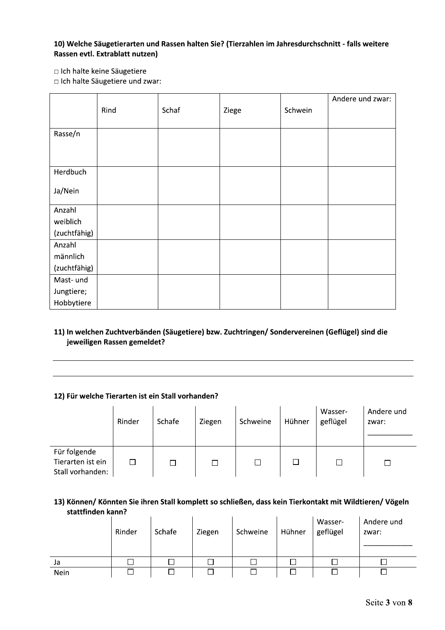## 10) Welche Säugetierarten und Rassen halten Sie? (Tierzahlen im Jahresdurchschnitt - falls weitere Rassen evtl. Extrablatt nutzen)

□ Ich halte keine Säugetiere

□ Ich halte Säugetiere und zwar:

|              |      |       |       |         | Andere und zwar: |
|--------------|------|-------|-------|---------|------------------|
|              | Rind | Schaf | Ziege | Schwein |                  |
|              |      |       |       |         |                  |
| Rasse/n      |      |       |       |         |                  |
|              |      |       |       |         |                  |
|              |      |       |       |         |                  |
| Herdbuch     |      |       |       |         |                  |
|              |      |       |       |         |                  |
| Ja/Nein      |      |       |       |         |                  |
| Anzahl       |      |       |       |         |                  |
| weiblich     |      |       |       |         |                  |
| (zuchtfähig) |      |       |       |         |                  |
| Anzahl       |      |       |       |         |                  |
| männlich     |      |       |       |         |                  |
| (zuchtfähig) |      |       |       |         |                  |
| Mast- und    |      |       |       |         |                  |
| Jungtiere;   |      |       |       |         |                  |
| Hobbytiere   |      |       |       |         |                  |

## 11) In welchen Zuchtverbänden (Säugetiere) bzw. Zuchtringen/Sondervereinen (Geflügel) sind die jeweiligen Rassen gemeldet?

#### 12) Für welche Tierarten ist ein Stall vorhanden?

|                                                       | Rinder | Schafe | Ziegen | Schweine | Hühner | Wasser-<br>geflügel | Andere und<br>zwar: |
|-------------------------------------------------------|--------|--------|--------|----------|--------|---------------------|---------------------|
| Für folgende<br>Tierarten ist ein<br>Stall vorhanden: |        |        | $\Box$ |          | П      |                     |                     |

## 13) Können/ Könnten Sie ihren Stall komplett so schließen, dass kein Tierkontakt mit Wildtieren/ Vögeln stattfinden kann?

|      | Rinder | Schafe | Ziegen | Schweine | Hühner | Wasser-<br>geflügel | Andere und<br>zwar: |
|------|--------|--------|--------|----------|--------|---------------------|---------------------|
| Ja   |        |        |        |          |        |                     |                     |
| Nein |        |        |        |          |        |                     |                     |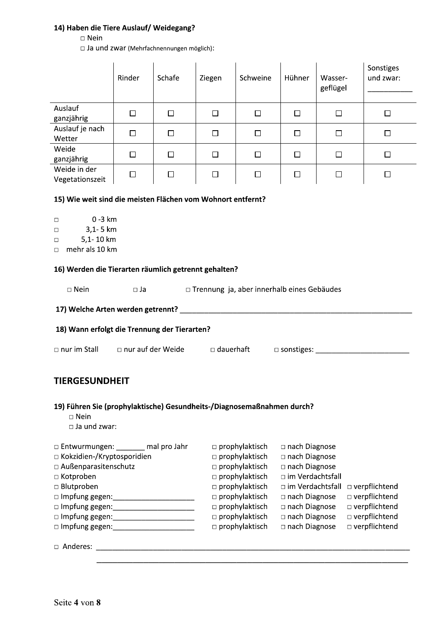## 14) Haben die Tiere Auslauf/ Weidegang?

## $\Box$  Nein

□ Ja und zwar (Mehrfachnennungen möglich):

|                                                                                                                              | Rinder                   | Schafe | Ziegen           | Schweine                                                                                                                       | Hühner                                                                      | Wasser-<br>geflügel                | Sonstiges<br>und zwar: |  |  |
|------------------------------------------------------------------------------------------------------------------------------|--------------------------|--------|------------------|--------------------------------------------------------------------------------------------------------------------------------|-----------------------------------------------------------------------------|------------------------------------|------------------------|--|--|
| Auslauf<br>ganzjährig                                                                                                        | $\Box$                   | □      | $\Box$           | □                                                                                                                              | $\Box$                                                                      | □                                  | $\Box$                 |  |  |
| Auslauf je nach<br>Wetter                                                                                                    | □                        | □      | $\Box$           | □                                                                                                                              | □                                                                           | $\Box$                             | □                      |  |  |
| Weide<br>ganzjährig                                                                                                          | □                        | □      | $\Box$           | □                                                                                                                              | □                                                                           | $\Box$                             | □                      |  |  |
| Weide in der<br>Vegetationszeit                                                                                              | □                        | □      | $\Box$           | $\Box$                                                                                                                         | □                                                                           | $\Box$                             | $\Box$                 |  |  |
| 15) Wie weit sind die meisten Flächen vom Wohnort entfernt?                                                                  |                          |        |                  |                                                                                                                                |                                                                             |                                    |                        |  |  |
| $0 - 3 km$<br>$\Box$<br>$3,1 - 5$ km<br>$\Box$<br>5,1-10 km<br>$\Box$<br>mehr als 10 km<br>$\Box$                            |                          |        |                  |                                                                                                                                |                                                                             |                                    |                        |  |  |
| 16) Werden die Tierarten räumlich getrennt gehalten?<br>$\square$ Nein                                                       | $\Box$ Ja                |        |                  | □ Trennung ja, aber innerhalb eines Gebäudes                                                                                   |                                                                             |                                    |                        |  |  |
| 17) Welche Arten werden getrennt?                                                                                            |                          |        |                  | <u> 1980 - Andrea Andrew Maria (h. 1980).</u>                                                                                  |                                                                             |                                    |                        |  |  |
| 18) Wann erfolgt die Trennung der Tierarten?                                                                                 |                          |        |                  |                                                                                                                                |                                                                             |                                    |                        |  |  |
| □ nur im Stall                                                                                                               | $\Box$ nur auf der Weide |        | $\Box$ dauerhaft |                                                                                                                                |                                                                             | $\square$ sonstiges: $\_\_$        |                        |  |  |
| <b>TIERGESUNDHEIT</b>                                                                                                        |                          |        |                  |                                                                                                                                |                                                                             |                                    |                        |  |  |
| 19) Führen Sie (prophylaktische) Gesundheits-/Diagnosemaßnahmen durch?<br>$\Box$ Nein<br>$\Box$ Ja und zwar:                 |                          |        |                  |                                                                                                                                |                                                                             |                                    |                        |  |  |
| □ Entwurmungen: ______ mal pro Jahr<br>□ Kokzidien-/Kryptosporidien<br>□ Außenparasitenschutz<br>□ Kotproben<br>□ Blutproben |                          |        |                  | $\square$ prophylaktisch<br>$\square$ prophylaktisch<br>prophylaktisch<br>$\square$ prophylaktisch<br>$\square$ prophylaktisch | □ nach Diagnose<br>□ nach Diagnose<br>□ nach Diagnose<br>□ im Verdachtsfall | □ im Verdachtsfall □ verpflichtend |                        |  |  |

 $\Box$  prophylaktisch

 $\Box$  prophylaktisch

 $\square$  prophylaktisch

 $\square$  prophylaktisch

□ nach Diagnose □ verpflichtend

□ verpflichtend

□ verpflichtend

□ verpflichtend

nach Diagnose

nach Diagnose

□ nach Diagnose

□ Impfung gegen: \_\_\_\_\_\_\_\_\_\_\_\_\_\_\_\_\_\_\_\_\_\_\_ 

□ Impfung gegen: \_\_\_\_\_\_\_\_\_\_\_\_\_\_\_\_\_\_\_\_\_\_\_\_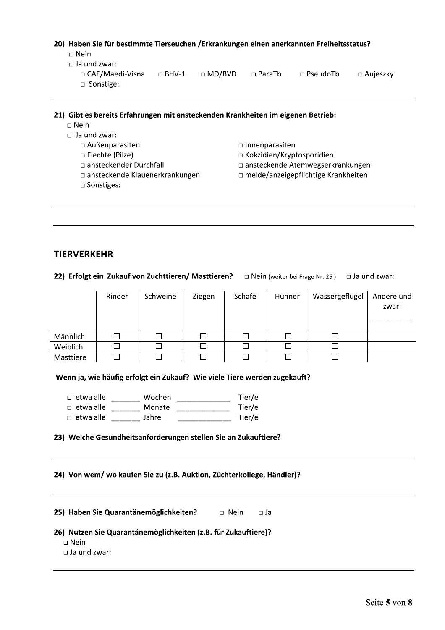### 20) Haben Sie für bestimmte Tierseuchen / Erkrankungen einen anerkannten Freiheitsstatus?

- $\square$  Nein
- $\Box$  Ja und zwar:
	- □ CAE/Maedi-Visna □ BHV-1  $\Box$  MD/BVD  $\sqcap$  ParaTb  $\Box$  PseudoTb  $\square$  Aujeszky  $\Box$  Sonstige:

#### 21) Gibt es bereits Erfahrungen mit ansteckenden Krankheiten im eigenen Betrieb:

- $\square$  Nein
- $\Box$  Ja und zwar:
	- □ Außenparasiten
	- □ Flechte (Pilze)
	- □ ansteckender Durchfall
	- □ ansteckende Klauenerkrankungen
	- □ Sonstiges:
- $\Box$  Innenparasiten
- □ Kokzidien/Kryptosporidien
- □ ansteckende Atemwegserkrankungen
- $\Box$  melde/anzeigepflichtige Krankheiten

## **TIERVERKEHR**

22) Erfolgt ein Zukauf von Zuchttieren/ Masttieren? 
□ Nein (weiter bei Frage Nr. 25) □ Ja und zwar:

|           | Rinder | Schweine | Ziegen | Schafe | Hühner | Wassergeflügel | Andere und<br>zwar: |
|-----------|--------|----------|--------|--------|--------|----------------|---------------------|
| Männlich  | ٦      |          |        |        |        |                |                     |
| Weiblich  |        |          |        |        |        |                |                     |
| Masttiere |        |          |        | ┘      |        |                |                     |

### Wenn ja, wie häufig erfolgt ein Zukauf? Wie viele Tiere werden zugekauft?

□ etwa alle Wochen Tier/e

□ etwa alle \_\_\_\_\_\_\_\_ Monate \_\_\_\_\_\_\_\_\_\_\_\_\_\_ Tier/e

□ etwa alle lahre Tier/e

## 23) Welche Gesundheitsanforderungen stellen Sie an Zukauftiere?

### 24) Von wem/ wo kaufen Sie zu (z.B. Auktion, Züchterkollege, Händler)?

25) Haben Sie Quarantänemöglichkeiten?  $\Box$  Nein — □ Ja

### 26) Nutzen Sie Quarantänemöglichkeiten (z.B. für Zukauftiere)?

 $\Box$  Nein

 $\Box$  Ja und zwar: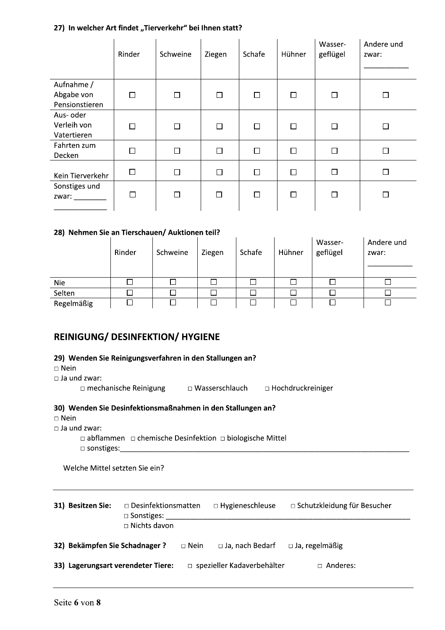## 27) In welcher Art findet "Tierverkehr" bei Ihnen statt?

| 27) In welcher Art findet "Tierverkehr" bei Ihnen statt? |        |          |        |        |        |                     |                     |  |  |  |  |
|----------------------------------------------------------|--------|----------|--------|--------|--------|---------------------|---------------------|--|--|--|--|
|                                                          | Rinder | Schweine | Ziegen | Schafe | Hühner | Wasser-<br>geflügel | Andere und<br>zwar: |  |  |  |  |
| Aufnahme /<br>Abgabe von<br>Pensionstieren               | $\Box$ | $\Box$   | $\Box$ | $\Box$ | П      | $\Box$              | $\Box$              |  |  |  |  |
| Aus- oder<br>Verleih von<br>Vatertieren                  | $\Box$ | □        | П      | □      | П      | $\Box$              | $\Box$              |  |  |  |  |
| Fahrten zum<br>Decken                                    | $\Box$ | $\Box$   | $\Box$ | П      | П      | $\Box$              | $\Box$              |  |  |  |  |
| Kein Tierverkehr                                         | $\Box$ | $\Box$   | $\Box$ | □      | $\Box$ | $\Box$              | □                   |  |  |  |  |
| Sonstiges und<br>zwar: $\frac{1}{2}$                     | П      | $\Box$   | $\Box$ | П      | П      | П                   | $\Box$              |  |  |  |  |

# **Z**8

| Decken                                                                                                                                                                                                                 |        |                                                                          |        |        |              |                     |                     |  |  |  |
|------------------------------------------------------------------------------------------------------------------------------------------------------------------------------------------------------------------------|--------|--------------------------------------------------------------------------|--------|--------|--------------|---------------------|---------------------|--|--|--|
| Kein Tierverkehr                                                                                                                                                                                                       | $\Box$ | П                                                                        | $\Box$ | □      | □            | $\Box$              | $\Box$              |  |  |  |
| Sonstiges und<br>zwar: $\_\_$                                                                                                                                                                                          | $\Box$ | $\Box$                                                                   | $\Box$ | $\Box$ | $\Box$       | $\Box$              | $\Box$              |  |  |  |
| 28) Nehmen Sie an Tierschauen/ Auktionen teil?                                                                                                                                                                         | Rinder | Schweine                                                                 | Ziegen | Schafe | Hühner       | Wasser-<br>geflügel | Andere und<br>zwar: |  |  |  |
| <b>Nie</b>                                                                                                                                                                                                             | $\Box$ |                                                                          | П      | □      | $\mathsf{L}$ | $\mathbf{L}$        | $\Box$              |  |  |  |
| Selten                                                                                                                                                                                                                 | П      | □                                                                        | □      | $\Box$ | $\Box$       | $\Box$              | $\Box$              |  |  |  |
| Regelmäßig                                                                                                                                                                                                             | □      |                                                                          | $\Box$ | $\Box$ |              |                     | $\Box$              |  |  |  |
| <b>REINIGUNG/ DESINFEKTION/ HYGIENE</b><br>29) Wenden Sie Reinigungsverfahren in den Stallungen an?<br>$\square$ Nein<br>$\Box$ Ja und zwar:<br>□ mechanische Reinigung = □ Wasserschlauch<br>$\Box$ Hochdruckreiniger |        |                                                                          |        |        |              |                     |                     |  |  |  |
| 30) Wenden Sie Desinfektionsmaßnahmen in den Stallungen an?<br>$\Box$ Nein<br>$\Box$ Ja und zwar:                                                                                                                      |        | $\Box$ abflammen $\Box$ chemische Desinfektion $\Box$ biologische Mittel |        |        |              |                     |                     |  |  |  |

# REINIGUNG/ DESINFEKTION/ HYGIENE

# **29**

**REINIGUNG/ DESINFEKTION/ HYGIENE<br>
29) Wenden Sie Reinigungsverfahren in den Stallungen an?<br>**  $\Box$  **Pein<br>**  $\Box$  **Ja und zwar:<br>**  $\Box$  **mechanische Reinigung**  $\Box$  **Wasserschlauch**  $\Box$  **Hochdruckreiniger<br>
30) Wenden Sie Desinfektion** 

| Welche Mittel setzten Sie ein? |                                                                                                    |
|--------------------------------|----------------------------------------------------------------------------------------------------|
| 31) Besitzen Sie:              | □ Hygieneschleuse<br>□ Schutzkleidung für Besucher<br>$\Box$ Desinfektionsmatten<br>□ Nichts davon |
|                                | <b>32) Bekämpfen Sie Schadnager ?</b> □ Nein<br>□ Ja, nach Bedarf<br>$\Box$ Ja, regelmäßig         |
|                                | 33) Lagerungsart verendeter Tiere:<br>$\Box$ spezieller Kadaverbehälter<br>□ Anderes:              |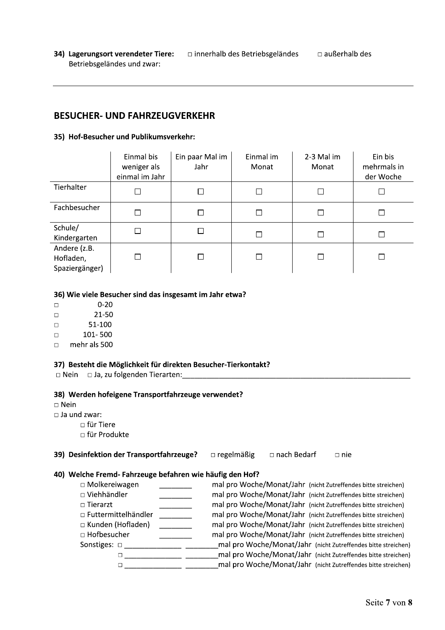34) Lagerungsort verendeter Tiere:  $\Box$  innerhalb des Betriebsgeländes □ außerhalb des Betriebsgeländes und zwar:

## **BESUCHER- UND FAHRZEUGVERKEHR**

#### 35) Hof-Besucher und Publikumsverkehr:

|                                             | Einmal bis<br>weniger als<br>einmal im Jahr | Ein paar Mal im<br>Jahr | Einmal im<br>Monat | 2-3 Mal im<br>Monat | Ein bis<br>mehrmals in<br>der Woche |
|---------------------------------------------|---------------------------------------------|-------------------------|--------------------|---------------------|-------------------------------------|
| Tierhalter                                  |                                             |                         |                    |                     |                                     |
| Fachbesucher                                | П                                           |                         |                    |                     |                                     |
| Schule/<br>Kindergarten                     |                                             |                         |                    |                     |                                     |
| Andere (z.B.<br>Hofladen,<br>Spaziergänger) |                                             |                         |                    |                     |                                     |

#### 36) Wie viele Besucher sind das insgesamt im Jahr etwa?

|  | $0 - 20$ |
|--|----------|
|--|----------|

- 21-50  $\Box$
- 51-100  $\Box$
- 101-500  $\Box$
- $\Box$ mehr als 500

## 37) Besteht die Möglichkeit für direkten Besucher-Tierkontakt?

□ Nein □ Ja, zu folgenden Tierarten:

### 38) Werden hofeigene Transportfahrzeuge verwendet?

 $\square$  Nein

 $\Box$  Ja und zwar:

- $\Box$  für Tiere
- □ für Produkte

#### 39) Desinfektion der Transportfahrzeuge? **Discheren** ergelmäßig □ nach Bedarf  $\Box$  nie

## 40) Welche Fremd- Fahrzeuge befahren wie häufig den Hof?

| $\Box$ Molkereiwagen       | mal pro Woche/Monat/Jahr (nicht Zutreffendes bitte streichen) |
|----------------------------|---------------------------------------------------------------|
| $\Box$ Viehhändler         | mal pro Woche/Monat/Jahr (nicht Zutreffendes bitte streichen) |
| $\Box$ Tierarzt            | mal pro Woche/Monat/Jahr (nicht Zutreffendes bitte streichen) |
| $\Box$ Futtermittelhändler | mal pro Woche/Monat/Jahr (nicht Zutreffendes bitte streichen) |
| □ Kunden (Hofladen)        | mal pro Woche/Monat/Jahr (nicht Zutreffendes bitte streichen) |
| □ Hofbesucher              | mal pro Woche/Monat/Jahr (nicht Zutreffendes bitte streichen) |
| Sonstiges: $\Box$          | mal pro Woche/Monat/Jahr (nicht Zutreffendes bitte streichen) |
|                            | mal pro Woche/Monat/Jahr (nicht Zutreffendes bitte streichen) |
|                            | mal pro Woche/Monat/Jahr (nicht Zutreffendes bitte streichen) |